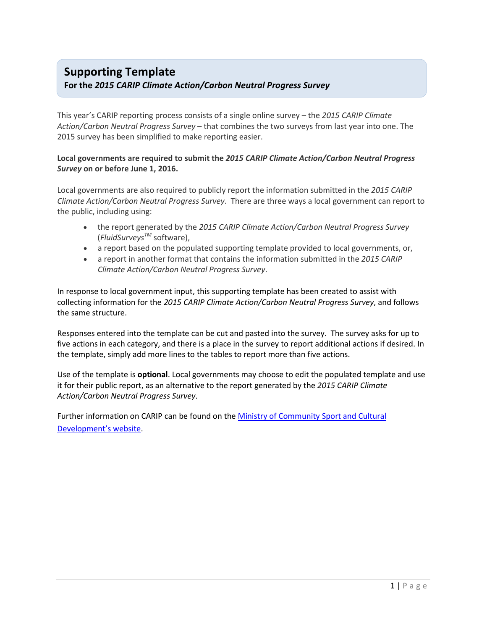## **Supporting Template**

### **For the** *2015 CARIP Climate Action/Carbon Neutral Progress Survey*

This year's CARIP reporting process consists of a single online survey – the *2015 CARIP Climate Action/Carbon Neutral Progress Survey* – that combines the two surveys from last year into one. The 2015 survey has been simplified to make reporting easier.

#### **Local governments are required to submit the** *2015 CARIP Climate Action/Carbon Neutral Progress Survey* **on or before June 1, 2016.**

Local governments are also required to publicly report the information submitted in the *2015 CARIP Climate Action/Carbon Neutral Progress Survey*. There are three ways a local government can report to the public, including using:

- the report generated by the *2015 CARIP Climate Action/Carbon Neutral Progress Survey* (*FluidSurveysTM* software),
- a report based on the populated supporting template provided to local governments, or,
- a report in another format that contains the information submitted in the *2015 CARIP Climate Action/Carbon Neutral Progress Survey*.

In response to local government input, this supporting template has been created to assist with collecting information for the *2015 CARIP Climate Action/Carbon Neutral Progress Survey*, and follows the same structure.

Responses entered into the template can be cut and pasted into the survey. The survey asks for up to five actions in each category, and there is a place in the survey to report additional actions if desired. In the template, simply add more lines to the tables to report more than five actions.

Use of the template is **optional**. Local governments may choose to edit the populated template and use it for their public report, as an alternative to the report generated by the *2015 CARIP Climate Action/Carbon Neutral Progress Survey*.

Further information on CARIP can be found on the Ministry of Community Sport and Cultural Development's website.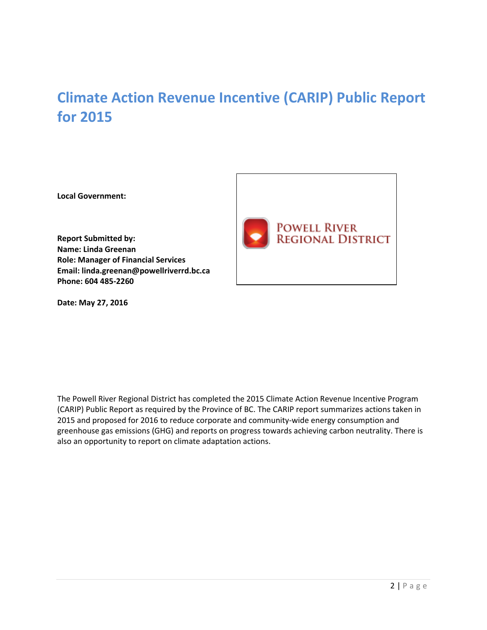# **Climate Action Revenue Incentive (CARIP) Public Report for 2015**

**Local Government:** 

**Report Submitted by: Name: Linda Greenan Role: Manager of Financial Services Email: linda.greenan@powellriverrd.bc.ca Phone: 604 485-2260** 

**Date: May 27, 2016** 



The Powell River Regional District has completed the 2015 Climate Action Revenue Incentive Program (CARIP) Public Report as required by the Province of BC. The CARIP report summarizes actions taken in 2015 and proposed for 2016 to reduce corporate and community-wide energy consumption and greenhouse gas emissions (GHG) and reports on progress towards achieving carbon neutrality. There is also an opportunity to report on climate adaptation actions.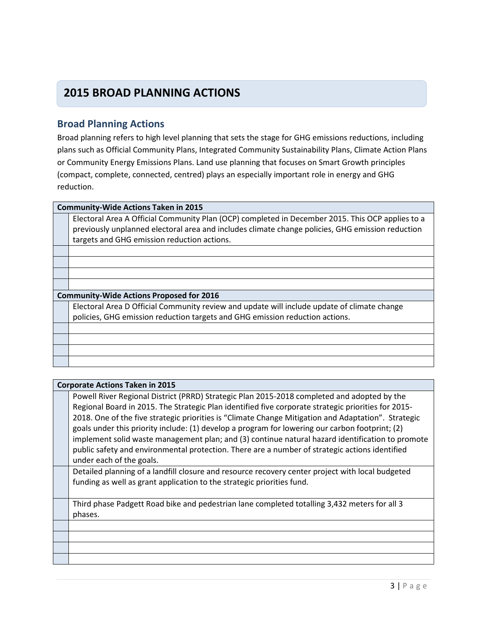## **2015 BROAD PLANNING ACTIONS**

### **Broad Planning Actions**

Broad planning refers to high level planning that sets the stage for GHG emissions reductions, including plans such as Official Community Plans, Integrated Community Sustainability Plans, Climate Action Plans or Community Energy Emissions Plans. Land use planning that focuses on Smart Growth principles (compact, complete, connected, centred) plays an especially important role in energy and GHG reduction.

#### **Community-Wide Actions Taken in 2015**

Electoral Area A Official Community Plan (OCP) completed in December 2015. This OCP applies to a previously unplanned electoral area and includes climate change policies, GHG emission reduction targets and GHG emission reduction actions.

#### **Community-Wide Actions Proposed for 2016**

Electoral Area D Official Community review and update will include update of climate change policies, GHG emission reduction targets and GHG emission reduction actions.

#### **Corporate Actions Taken in 2015**

Powell River Regional District (PRRD) Strategic Plan 2015-2018 completed and adopted by the Regional Board in 2015. The Strategic Plan identified five corporate strategic priorities for 2015- 2018. One of the five strategic priorities is "Climate Change Mitigation and Adaptation". Strategic goals under this priority include: (1) develop a program for lowering our carbon footprint; (2) implement solid waste management plan; and (3) continue natural hazard identification to promote public safety and environmental protection. There are a number of strategic actions identified under each of the goals.

Detailed planning of a landfill closure and resource recovery center project with local budgeted funding as well as grant application to the strategic priorities fund.

Third phase Padgett Road bike and pedestrian lane completed totalling 3,432 meters for all 3 phases.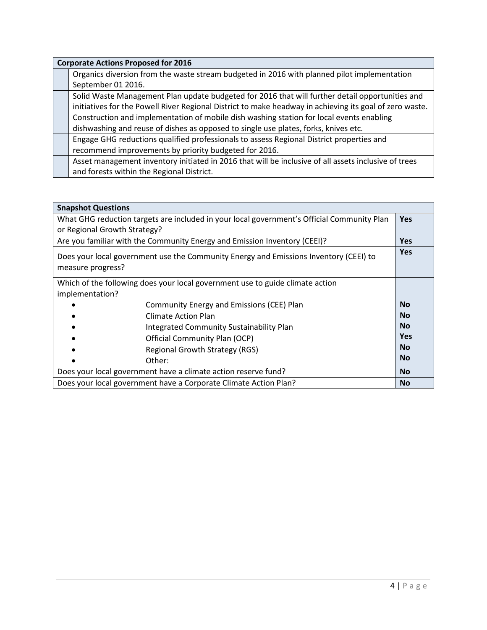| <b>Corporate Actions Proposed for 2016</b>                                                              |  |
|---------------------------------------------------------------------------------------------------------|--|
| Organics diversion from the waste stream budgeted in 2016 with planned pilot implementation             |  |
| September 01 2016.                                                                                      |  |
| Solid Waste Management Plan update budgeted for 2016 that will further detail opportunities and         |  |
| initiatives for the Powell River Regional District to make headway in achieving its goal of zero waste. |  |
| Construction and implementation of mobile dish washing station for local events enabling                |  |
| dishwashing and reuse of dishes as opposed to single use plates, forks, knives etc.                     |  |
| Engage GHG reductions qualified professionals to assess Regional District properties and                |  |
| recommend improvements by priority budgeted for 2016.                                                   |  |
| Asset management inventory initiated in 2016 that will be inclusive of all assets inclusive of trees    |  |
| and forests within the Regional District.                                                               |  |

| <b>Snapshot Questions</b>                                                                                  |            |
|------------------------------------------------------------------------------------------------------------|------------|
| What GHG reduction targets are included in your local government's Official Community Plan                 | <b>Yes</b> |
| or Regional Growth Strategy?                                                                               |            |
| Are you familiar with the Community Energy and Emission Inventory (CEEI)?                                  | <b>Yes</b> |
| Does your local government use the Community Energy and Emissions Inventory (CEEI) to<br>measure progress? | <b>Yes</b> |
| Which of the following does your local government use to guide climate action<br>implementation?           |            |
| Community Energy and Emissions (CEE) Plan                                                                  | <b>No</b>  |
| Climate Action Plan                                                                                        | <b>No</b>  |
| Integrated Community Sustainability Plan                                                                   | <b>No</b>  |
| Official Community Plan (OCP)                                                                              | <b>Yes</b> |
| <b>Regional Growth Strategy (RGS)</b>                                                                      | <b>No</b>  |
| Other:                                                                                                     | <b>No</b>  |
| Does your local government have a climate action reserve fund?                                             | <b>No</b>  |
| Does your local government have a Corporate Climate Action Plan?                                           | <b>No</b>  |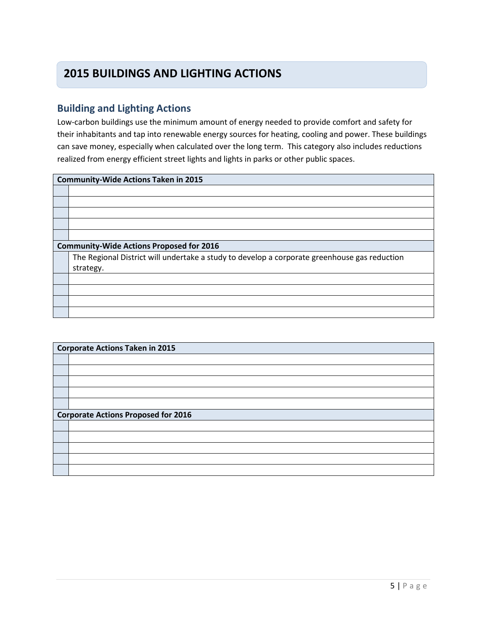## **2015 BUILDINGS AND LIGHTING ACTIONS**

## **Building and Lighting Actions**

Low-carbon buildings use the minimum amount of energy needed to provide comfort and safety for their inhabitants and tap into renewable energy sources for heating, cooling and power. These buildings can save money, especially when calculated over the long term. This category also includes reductions realized from energy efficient street lights and lights in parks or other public spaces.

| <b>Community-Wide Actions Taken in 2015</b>                                                  |  |
|----------------------------------------------------------------------------------------------|--|
|                                                                                              |  |
|                                                                                              |  |
|                                                                                              |  |
|                                                                                              |  |
|                                                                                              |  |
| <b>Community-Wide Actions Proposed for 2016</b>                                              |  |
| The Regional District will undertake a study to develop a corporate greenhouse gas reduction |  |
| strategy.                                                                                    |  |
|                                                                                              |  |
|                                                                                              |  |
|                                                                                              |  |
|                                                                                              |  |
|                                                                                              |  |

| <b>Corporate Actions Taken in 2015</b>     |  |
|--------------------------------------------|--|
|                                            |  |
|                                            |  |
|                                            |  |
|                                            |  |
|                                            |  |
| <b>Corporate Actions Proposed for 2016</b> |  |
|                                            |  |
|                                            |  |
|                                            |  |
|                                            |  |
|                                            |  |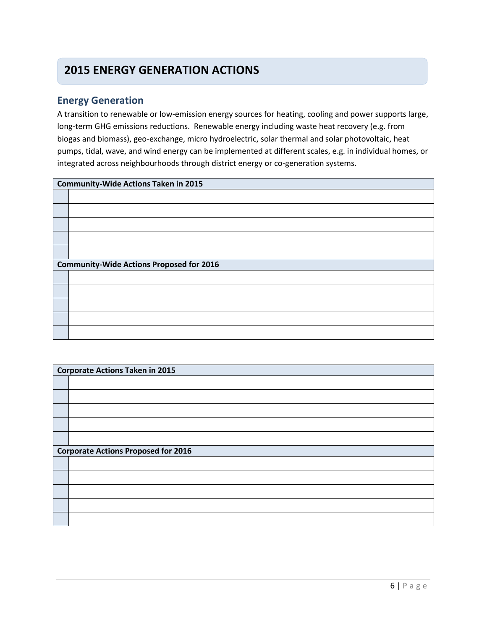## **2015 ENERGY GENERATION ACTIONS**

### **Energy Generation**

A transition to renewable or low-emission energy sources for heating, cooling and power supports large, long-term GHG emissions reductions. Renewable energy including waste heat recovery (e.g. from biogas and biomass), geo-exchange, micro hydroelectric, solar thermal and solar photovoltaic, heat pumps, tidal, wave, and wind energy can be implemented at different scales, e.g. in individual homes, or integrated across neighbourhoods through district energy or co-generation systems.

| <b>Community-Wide Actions Taken in 2015</b>     |  |
|-------------------------------------------------|--|
|                                                 |  |
|                                                 |  |
|                                                 |  |
|                                                 |  |
|                                                 |  |
| <b>Community-Wide Actions Proposed for 2016</b> |  |
|                                                 |  |
|                                                 |  |
|                                                 |  |
|                                                 |  |
|                                                 |  |

| <b>Corporate Actions Taken in 2015</b>     |  |
|--------------------------------------------|--|
|                                            |  |
|                                            |  |
|                                            |  |
|                                            |  |
|                                            |  |
| <b>Corporate Actions Proposed for 2016</b> |  |
|                                            |  |
|                                            |  |
|                                            |  |
|                                            |  |
|                                            |  |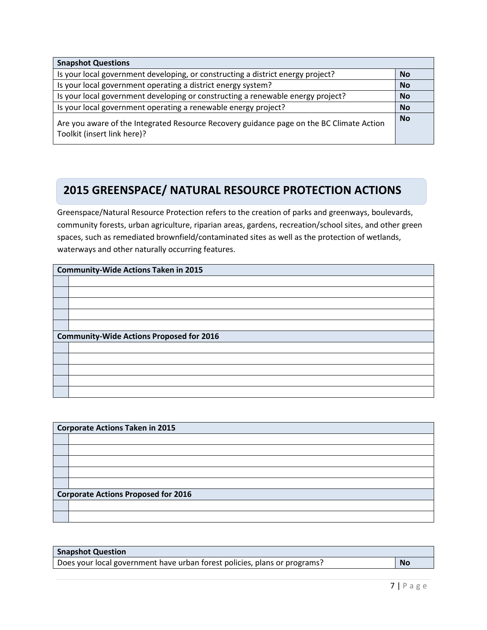| <b>Snapshot Questions</b>                                                                                               |           |
|-------------------------------------------------------------------------------------------------------------------------|-----------|
| Is your local government developing, or constructing a district energy project?                                         | <b>No</b> |
| Is your local government operating a district energy system?                                                            | <b>No</b> |
| Is your local government developing or constructing a renewable energy project?                                         | <b>No</b> |
| Is your local government operating a renewable energy project?                                                          | <b>No</b> |
| Are you aware of the Integrated Resource Recovery guidance page on the BC Climate Action<br>Toolkit (insert link here)? | <b>No</b> |

#### **Greens 2015 GREENSPACE/ NATURAL RESOURCE PROTECTION ACTIONS**

Greenspace/Natural Resource Protection refers to the creation of parks and greenways, boulevards, community forests, urban agriculture, riparian areas, gardens, recreation/school sites, and other green spaces, such as remediated brownfield/contaminated sites as well as the protection of wetlands, waterways and other naturally occurring features.

| <b>Community-Wide Actions Taken in 2015</b>     |  |
|-------------------------------------------------|--|
|                                                 |  |
|                                                 |  |
|                                                 |  |
|                                                 |  |
|                                                 |  |
| <b>Community-Wide Actions Proposed for 2016</b> |  |
|                                                 |  |
|                                                 |  |
|                                                 |  |
|                                                 |  |
|                                                 |  |

| <b>Corporate Actions Taken in 2015</b>     |  |
|--------------------------------------------|--|
|                                            |  |
|                                            |  |
|                                            |  |
|                                            |  |
|                                            |  |
| <b>Corporate Actions Proposed for 2016</b> |  |
|                                            |  |
|                                            |  |

| <b>Snapshot Question</b>                                                  |    |
|---------------------------------------------------------------------------|----|
| Does your local government have urban forest policies, plans or programs? | No |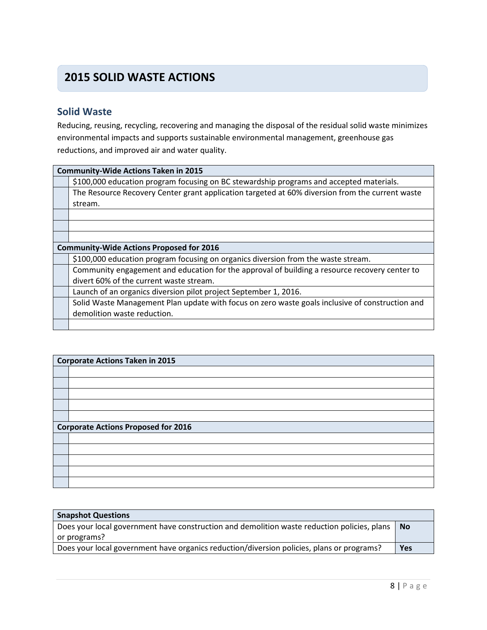## **2015 SOLID WASTE ACTIONS**

## **Solid Waste**

Reducing, reusing, recycling, recovering and managing the disposal of the residual solid waste minimizes environmental impacts and supports sustainable environmental management, greenhouse gas reductions, and improved air and water quality.

| <b>Community-Wide Actions Taken in 2015</b>                                                     |  |
|-------------------------------------------------------------------------------------------------|--|
| \$100,000 education program focusing on BC stewardship programs and accepted materials.         |  |
| The Resource Recovery Center grant application targeted at 60% diversion from the current waste |  |
| stream.                                                                                         |  |
|                                                                                                 |  |
|                                                                                                 |  |
|                                                                                                 |  |
| <b>Community-Wide Actions Proposed for 2016</b>                                                 |  |
| \$100,000 education program focusing on organics diversion from the waste stream.               |  |
| Community engagement and education for the approval of building a resource recovery center to   |  |
| divert 60% of the current waste stream.                                                         |  |
| Launch of an organics diversion pilot project September 1, 2016.                                |  |
| Solid Waste Management Plan update with focus on zero waste goals inclusive of construction and |  |
| demolition waste reduction.                                                                     |  |
|                                                                                                 |  |

| <b>Corporate Actions Taken in 2015</b>     |  |
|--------------------------------------------|--|
|                                            |  |
|                                            |  |
|                                            |  |
|                                            |  |
|                                            |  |
| <b>Corporate Actions Proposed for 2016</b> |  |
|                                            |  |
|                                            |  |
|                                            |  |
|                                            |  |
|                                            |  |

| <b>Snapshot Questions</b>                                                                              |     |
|--------------------------------------------------------------------------------------------------------|-----|
| Does your local government have construction and demolition waste reduction policies, plans $\vert$ No |     |
| or programs?                                                                                           |     |
| Does your local government have organics reduction/diversion policies, plans or programs?              | Yes |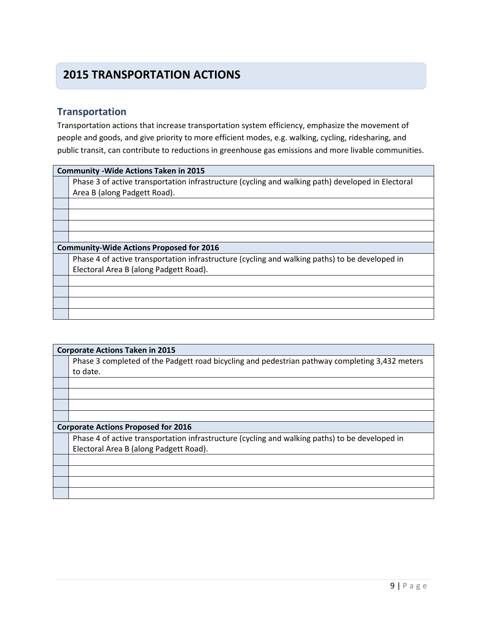## **2015 TRANSPORTATION ACTIONS**

## **Transportation**

Transportation actions that increase transportation system efficiency, emphasize the movement of people and goods, and give priority to more efficient modes, e.g. walking, cycling, ridesharing, and public transit, can contribute to reductions in greenhouse gas emissions and more livable communities.

| <b>Community - Wide Actions Taken in 2015</b>                                                     |  |  |
|---------------------------------------------------------------------------------------------------|--|--|
| Phase 3 of active transportation infrastructure (cycling and walking path) developed in Electoral |  |  |
| Area B (along Padgett Road).                                                                      |  |  |
|                                                                                                   |  |  |
|                                                                                                   |  |  |
|                                                                                                   |  |  |
|                                                                                                   |  |  |
| <b>Community-Wide Actions Proposed for 2016</b>                                                   |  |  |
| Phase 4 of active transportation infrastructure (cycling and walking paths) to be developed in    |  |  |
| Electoral Area B (along Padgett Road).                                                            |  |  |
|                                                                                                   |  |  |
|                                                                                                   |  |  |
|                                                                                                   |  |  |
|                                                                                                   |  |  |
|                                                                                                   |  |  |

| <b>Corporate Actions Taken in 2015</b> |                                                                                                            |  |
|----------------------------------------|------------------------------------------------------------------------------------------------------------|--|
|                                        | Phase 3 completed of the Padgett road bicycling and pedestrian pathway completing 3,432 meters<br>to date. |  |
|                                        |                                                                                                            |  |

#### **Corporate Actions Proposed for 2016**

Phase 4 of active transportation infrastructure (cycling and walking paths) to be developed in Electoral Area B (along Padgett Road).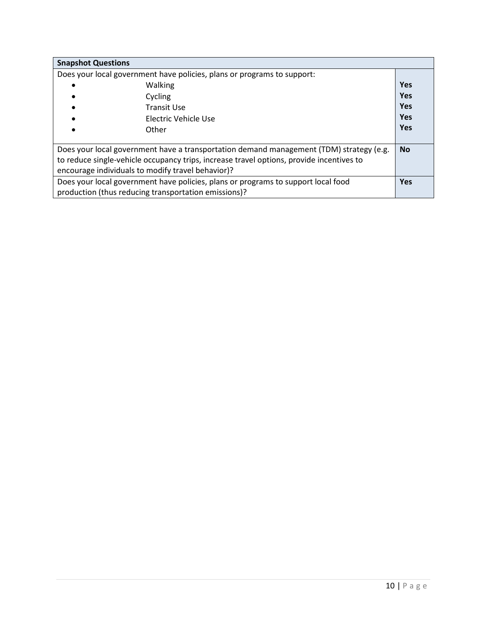| <b>Snapshot Questions</b>                                                                |            |
|------------------------------------------------------------------------------------------|------------|
| Does your local government have policies, plans or programs to support:                  |            |
| <b>Walking</b>                                                                           | <b>Yes</b> |
| Cycling                                                                                  | <b>Yes</b> |
| Transit Use                                                                              | <b>Yes</b> |
| Electric Vehicle Use                                                                     | Yes        |
| Other                                                                                    | <b>Yes</b> |
|                                                                                          |            |
| Does your local government have a transportation demand management (TDM) strategy (e.g.  | <b>No</b>  |
| to reduce single-vehicle occupancy trips, increase travel options, provide incentives to |            |
| encourage individuals to modify travel behavior)?                                        |            |
| Does your local government have policies, plans or programs to support local food        | <b>Yes</b> |
| production (thus reducing transportation emissions)?                                     |            |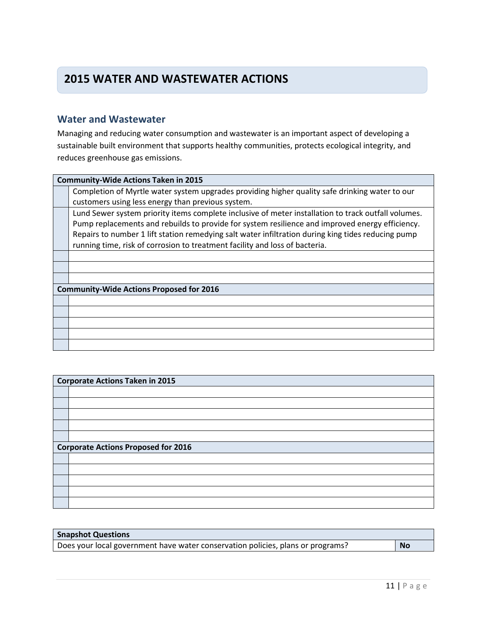## **2015 WATER AND WASTEWATER ACTIONS**

### **Water and Wastewater**

Managing and reducing water consumption and wastewater is an important aspect of developing a sustainable built environment that supports healthy communities, protects ecological integrity, and reduces greenhouse gas emissions.

| <b>Community-Wide Actions Taken in 2015</b>                                                         |  |  |
|-----------------------------------------------------------------------------------------------------|--|--|
| Completion of Myrtle water system upgrades providing higher quality safe drinking water to our      |  |  |
| customers using less energy than previous system.                                                   |  |  |
| Lund Sewer system priority items complete inclusive of meter installation to track outfall volumes. |  |  |
| Pump replacements and rebuilds to provide for system resilience and improved energy efficiency.     |  |  |
| Repairs to number 1 lift station remedying salt water infiltration during king tides reducing pump  |  |  |
| running time, risk of corrosion to treatment facility and loss of bacteria.                         |  |  |
|                                                                                                     |  |  |
|                                                                                                     |  |  |
|                                                                                                     |  |  |
| <b>Community-Wide Actions Proposed for 2016</b>                                                     |  |  |
|                                                                                                     |  |  |
|                                                                                                     |  |  |
|                                                                                                     |  |  |
|                                                                                                     |  |  |
|                                                                                                     |  |  |

| <b>Corporate Actions Taken in 2015</b>     |  |  |
|--------------------------------------------|--|--|
|                                            |  |  |
|                                            |  |  |
|                                            |  |  |
|                                            |  |  |
|                                            |  |  |
| <b>Corporate Actions Proposed for 2016</b> |  |  |
|                                            |  |  |
|                                            |  |  |
|                                            |  |  |
|                                            |  |  |
|                                            |  |  |

| <b>Snapshot Questions</b>                                                       |           |
|---------------------------------------------------------------------------------|-----------|
| Does your local government have water conservation policies, plans or programs? | <b>No</b> |
|                                                                                 |           |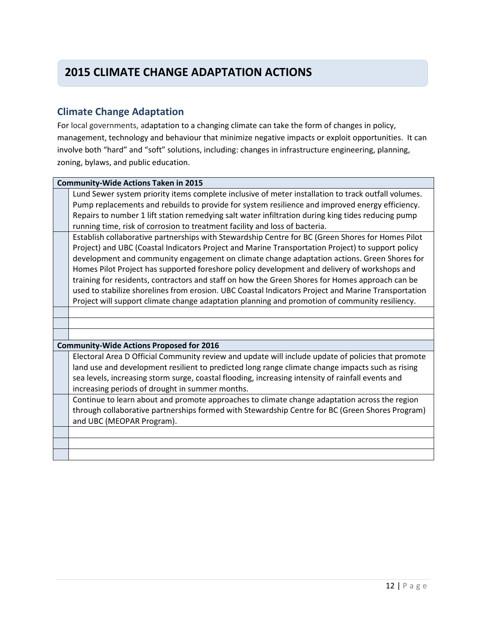## **2015 CLIMATE CHANGE ADAPTATION ACTIONS**

## **Climate Change Adaptation**

For local governments, adaptation to a changing climate can take the form of changes in policy, management, technology and behaviour that minimize negative impacts or exploit opportunities. It can involve both "hard" and "soft" solutions, including: changes in infrastructure engineering, planning, zoning, bylaws, and public education.

| <b>Community-Wide Actions Taken in 2015</b>                                                         |  |  |
|-----------------------------------------------------------------------------------------------------|--|--|
| Lund Sewer system priority items complete inclusive of meter installation to track outfall volumes. |  |  |
| Pump replacements and rebuilds to provide for system resilience and improved energy efficiency.     |  |  |
| Repairs to number 1 lift station remedying salt water infiltration during king tides reducing pump  |  |  |
| running time, risk of corrosion to treatment facility and loss of bacteria.                         |  |  |
| Establish collaborative partnerships with Stewardship Centre for BC (Green Shores for Homes Pilot   |  |  |
| Project) and UBC (Coastal Indicators Project and Marine Transportation Project) to support policy   |  |  |
| development and community engagement on climate change adaptation actions. Green Shores for         |  |  |
| Homes Pilot Project has supported foreshore policy development and delivery of workshops and        |  |  |
| training for residents, contractors and staff on how the Green Shores for Homes approach can be     |  |  |
| used to stabilize shorelines from erosion. UBC Coastal Indicators Project and Marine Transportation |  |  |
| Project will support climate change adaptation planning and promotion of community resiliency.      |  |  |
|                                                                                                     |  |  |
|                                                                                                     |  |  |
|                                                                                                     |  |  |
|                                                                                                     |  |  |
| <b>Community-Wide Actions Proposed for 2016</b>                                                     |  |  |
| Electoral Area D Official Community review and update will include update of policies that promote  |  |  |
| land use and development resilient to predicted long range climate change impacts such as rising    |  |  |
| sea levels, increasing storm surge, coastal flooding, increasing intensity of rainfall events and   |  |  |
| increasing periods of drought in summer months.                                                     |  |  |
| Continue to learn about and promote approaches to climate change adaptation across the region       |  |  |
| through collaborative partnerships formed with Stewardship Centre for BC (Green Shores Program)     |  |  |
| and UBC (MEOPAR Program).                                                                           |  |  |
|                                                                                                     |  |  |
|                                                                                                     |  |  |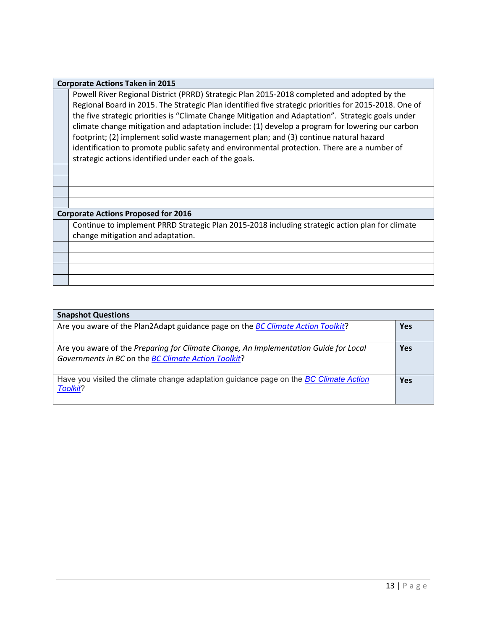#### **Corporate Actions Taken in 2015**

Powell River Regional District (PRRD) Strategic Plan 2015-2018 completed and adopted by the Regional Board in 2015. The Strategic Plan identified five strategic priorities for 2015-2018. One of the five strategic priorities is "Climate Change Mitigation and Adaptation". Strategic goals under climate change mitigation and adaptation include: (1) develop a program for lowering our carbon footprint; (2) implement solid waste management plan; and (3) continue natural hazard identification to promote public safety and environmental protection. There are a number of strategic actions identified under each of the goals.

#### **Corporate Actions Proposed for 2016**

Continue to implement PRRD Strategic Plan 2015-2018 including strategic action plan for climate change mitigation and adaptation.

### **Snapshot Questions**

| <b>SHAPSHOT QUESTIONS</b>                                                                                                                   |            |
|---------------------------------------------------------------------------------------------------------------------------------------------|------------|
| Are you aware of the Plan2Adapt guidance page on the BC Climate Action Toolkit?                                                             | <b>Yes</b> |
| Are you aware of the Preparing for Climate Change, An Implementation Guide for Local<br>Governments in BC on the BC Climate Action Toolkit? | <b>Yes</b> |
| Have you visited the climate change adaptation guidance page on the BC Climate Action<br>Toolkit?                                           | <b>Yes</b> |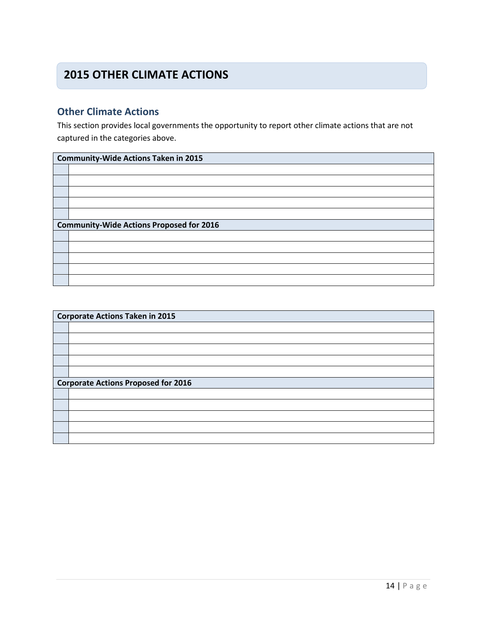## **2015 OTHER CLIMATE ACTIONS**

## **Other Climate Actions**

This section provides local governments the opportunity to report other climate actions that are not captured in the categories above.

| <b>Community-Wide Actions Taken in 2015</b>     |  |  |
|-------------------------------------------------|--|--|
|                                                 |  |  |
|                                                 |  |  |
|                                                 |  |  |
|                                                 |  |  |
|                                                 |  |  |
| <b>Community-Wide Actions Proposed for 2016</b> |  |  |
|                                                 |  |  |
|                                                 |  |  |
|                                                 |  |  |
|                                                 |  |  |
|                                                 |  |  |

| <b>Corporate Actions Taken in 2015</b> |                                            |  |
|----------------------------------------|--------------------------------------------|--|
|                                        |                                            |  |
|                                        |                                            |  |
|                                        |                                            |  |
|                                        |                                            |  |
|                                        |                                            |  |
|                                        |                                            |  |
|                                        |                                            |  |
|                                        | <b>Corporate Actions Proposed for 2016</b> |  |
|                                        |                                            |  |
|                                        |                                            |  |
|                                        |                                            |  |
|                                        |                                            |  |
|                                        |                                            |  |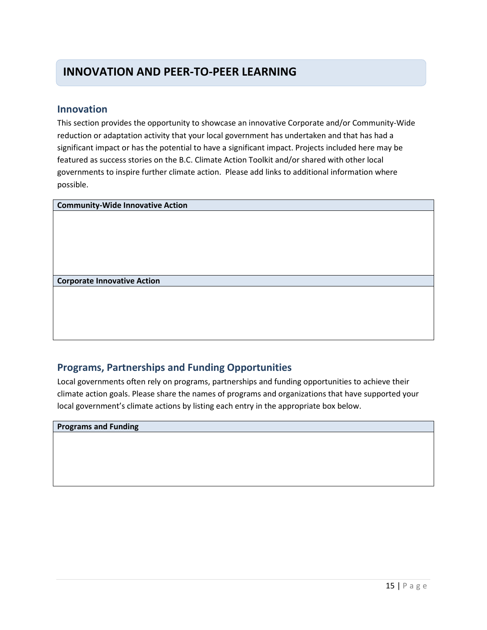## **INNOVATION AND PEER-TO-PEER LEARNING**

### **Innovation**

This section provides the opportunity to showcase an innovative Corporate and/or Community-Wide reduction or adaptation activity that your local government has undertaken and that has had a significant impact or has the potential to have a significant impact. Projects included here may be featured as success stories on the B.C. Climate Action Toolkit and/or shared with other local governments to inspire further climate action. Please add links to additional information where possible.

**Community-Wide Innovative Action**

**Corporate Innovative Action**

### **Programs, Partnerships and Funding Opportunities**

Local governments often rely on programs, partnerships and funding opportunities to achieve their climate action goals. Please share the names of programs and organizations that have supported your local government's climate actions by listing each entry in the appropriate box below.

#### **Programs and Funding**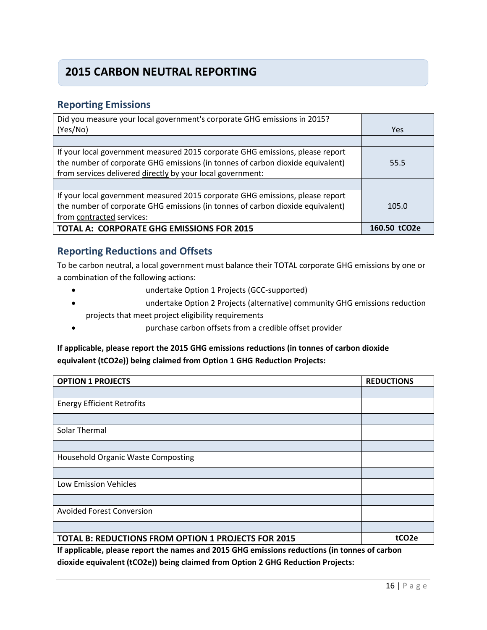## **2015 CARBON NEUTRAL REPORTING**

### **Reporting Emissions**

| Did you measure your local government's corporate GHG emissions in 2015?       |              |
|--------------------------------------------------------------------------------|--------------|
| (Yes/No)                                                                       | <b>Yes</b>   |
|                                                                                |              |
| If your local government measured 2015 corporate GHG emissions, please report  |              |
| the number of corporate GHG emissions (in tonnes of carbon dioxide equivalent) | 55.5         |
| from services delivered directly by your local government:                     |              |
|                                                                                |              |
| If your local government measured 2015 corporate GHG emissions, please report  |              |
| the number of corporate GHG emissions (in tonnes of carbon dioxide equivalent) | 105.0        |
| from contracted services:                                                      |              |
| <b>TOTAL A: CORPORATE GHG EMISSIONS FOR 2015</b>                               | 160.50 tCO2e |

### **Reporting Reductions and Offsets**

To be carbon neutral, a local government must balance their TOTAL corporate GHG emissions by one or a combination of the following actions:

- undertake Option 1 Projects (GCC-supported)
- undertake Option 2 Projects (alternative) community GHG emissions reduction projects that meet project eligibility requirements
- purchase carbon offsets from a credible offset provider

### **If applicable, please report the 2015 GHG emissions reductions (in tonnes of carbon dioxide equivalent (tCO2e)) being claimed from Option 1 GHG Reduction Projects:**

| <b>OPTION 1 PROJECTS</b>                            | <b>REDUCTIONS</b> |
|-----------------------------------------------------|-------------------|
|                                                     |                   |
| <b>Energy Efficient Retrofits</b>                   |                   |
|                                                     |                   |
| Solar Thermal                                       |                   |
|                                                     |                   |
| <b>Household Organic Waste Composting</b>           |                   |
|                                                     |                   |
| Low Emission Vehicles                               |                   |
|                                                     |                   |
| <b>Avoided Forest Conversion</b>                    |                   |
|                                                     |                   |
| TOTAL B: REDUCTIONS FROM OPTION 1 PROJECTS FOR 2015 | tCO <sub>2e</sub> |

**If applicable, please report the names and 2015 GHG emissions reductions (in tonnes of carbon dioxide equivalent (tCO2e)) being claimed from Option 2 GHG Reduction Projects:**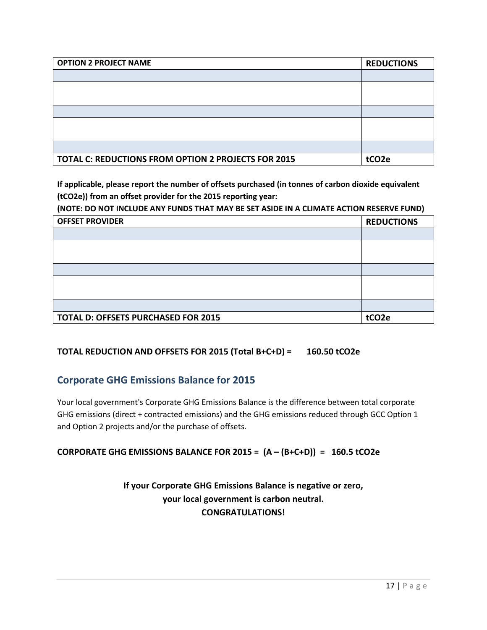| <b>OPTION 2 PROJECT NAME</b>                               | <b>REDUCTIONS</b> |
|------------------------------------------------------------|-------------------|
|                                                            |                   |
|                                                            |                   |
|                                                            |                   |
|                                                            |                   |
|                                                            |                   |
|                                                            |                   |
|                                                            |                   |
| <b>TOTAL C: REDUCTIONS FROM OPTION 2 PROJECTS FOR 2015</b> | tCO <sub>2e</sub> |

**If applicable, please report the number of offsets purchased (in tonnes of carbon dioxide equivalent (tCO2e)) from an offset provider for the 2015 reporting year:** 

**(NOTE: DO NOT INCLUDE ANY FUNDS THAT MAY BE SET ASIDE IN A CLIMATE ACTION RESERVE FUND)** 

| <b>OFFSET PROVIDER</b>                     | <b>REDUCTIONS</b> |
|--------------------------------------------|-------------------|
|                                            |                   |
|                                            |                   |
|                                            |                   |
|                                            |                   |
|                                            |                   |
|                                            |                   |
|                                            |                   |
| <b>TOTAL D: OFFSETS PURCHASED FOR 2015</b> | tCO <sub>2e</sub> |

### **TOTAL REDUCTION AND OFFSETS FOR 2015 (Total B+C+D) = 160.50 tCO2e**

## **Corporate GHG Emissions Balance for 2015**

Your local government's Corporate GHG Emissions Balance is the difference between total corporate GHG emissions (direct + contracted emissions) and the GHG emissions reduced through GCC Option 1 and Option 2 projects and/or the purchase of offsets.

### **CORPORATE GHG EMISSIONS BALANCE FOR 2015 = (A – (B+C+D)) = 160.5 tCO2e**

## **If your Corporate GHG Emissions Balance is negative or zero, your local government is carbon neutral. CONGRATULATIONS!**